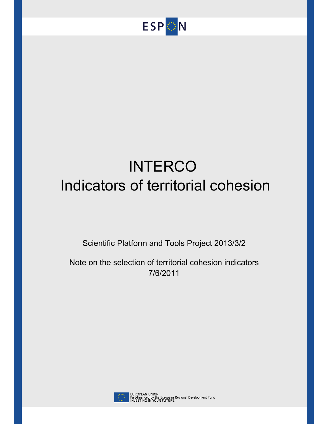

# **INTERCO** Indicators of territorial cohesion

Scientific Platform and Tools Project 2013/3/2

Note on the selection of territorial cohesion indicators 7/6/2011



EUROPEAN UNION<br>Part-financed by the European Regional Development Fund<br>INVESTING IN YOUR FUTURE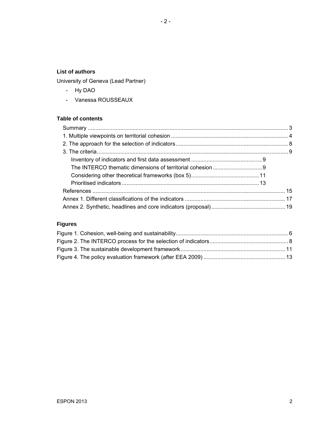## **List of authors**

University of Geneva (Lead Partner)

- Hy DAO
- Vanessa ROUSSEAUX

# **Table of contents**

# **Figures**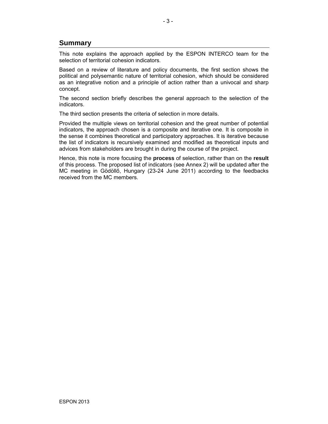# **Summary**

This note explains the approach applied by the ESPON INTERCO team for the selection of territorial cohesion indicators.

Based on a review of literature and policy documents, the first section shows the political and polysemantic nature of territorial cohesion, which should be considered as an integrative notion and a principle of action rather than a univocal and sharp concept.

The second section briefly describes the general approach to the selection of the indicators.

The third section presents the criteria of selection in more details.

Provided the multiple views on territorial cohesion and the great number of potential indicators, the approach chosen is a composite and iterative one. It is composite in the sense it combines theoretical and participatory approaches. It is iterative because the list of indicators is recursively examined and modified as theoretical inputs and advices from stakeholders are brought in during the course of the project.

Hence, this note is more focusing the **process** of selection, rather than on the **result** of this process. The proposed list of indicators (see Annex 2) will be updated after the MC meeting in Gödöllő, Hungary (23-24 June 2011) according to the feedbacks received from the MC members.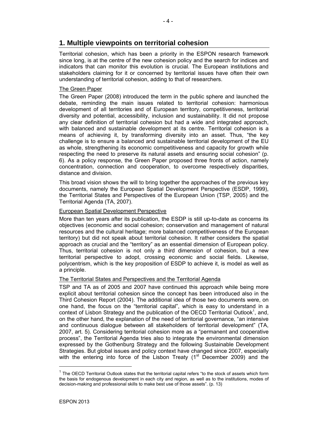# **1. Multiple viewpoints on territorial cohesion**

Territorial cohesion, which has been a priority in the ESPON research framework since long, is at the centre of the new cohesion policy and the search for indices and indicators that can monitor this evolution is crucial. The European institutions and stakeholders claiming for it or concerned by territorial issues have often their own understanding of territorial cohesion, adding to that of researchers.

#### The Green Paper

The Green Paper (2008) introduced the term in the public sphere and launched the debate, reminding the main issues related to territorial cohesion: harmonious development of all territories and of European territory, competitiveness, territorial diversity and potential, accessibility, inclusion and sustainability. It did not propose any clear definition of territorial cohesion but had a wide and integrated approach, with balanced and sustainable development at its centre. Territorial cohesion is a means of achieving it, by transforming diversity into an asset. Thus, "the key challenge is to ensure a balanced and sustainable territorial development of the EU as whole, strengthening its economic competitiveness and capacity for growth while respecting the need to preserve its natural assets and ensuring social cohesion" (p. 6). As a policy response, the Green Paper proposed three fronts of action, namely concentration, connection and cooperation, to overcome respectively disparities, distance and division.

This broad vision shows the will to bring together the approaches of the previous key documents, namely the European Spatial Development Perspective (ESDP, 1999), the Territorial States and Perspectives of the European Union (TSP, 2005) and the Territorial Agenda (TA, 2007).

#### European Spatial Development Perspective

More than ten years after its publication, the ESDP is still up-to-date as concerns its objectives (economic and social cohesion; conservation and management of natural resources and the cultural heritage; more balanced competitiveness of the European territory) but did not speak about territorial cohesion. It rather considers the spatial approach as crucial and the "territory" as an essential dimension of European policy. Thus, territorial cohesion is not only a third dimension of cohesion, but a new territorial perspective to adopt, crossing economic and social fields. Likewise, polycentrism, which is the key proposition of ESDP to achieve it, is model as well as a principle.

#### The Territorial States and Perspectives and the Territorial Agenda

TSP and TA as of 2005 and 2007 have continued this approach while being more explicit about territorial cohesion since the concept has been introduced also in the Third Cohesion Report (2004). The additional idea of those two documents were, on one hand, the focus on the "territorial capital", which is easy to understand in a context of Lisbon Strategy and the publication of the OECD Territorial Outlook<sup>1</sup>, and, on the other hand, the explanation of the need of territorial governance, "an intensive and continuous dialogue between all stakeholders of territorial development" (TA, 2007, art. 5). Considering territorial cohesion more as a "permanent and cooperative process", the Territorial Agenda tries also to integrate the environmental dimension expressed by the Gothenburg Strategy and the following Sustainable Development Strategies. But global issues and policy context have changed since 2007, especially with the entering into force of the Lisbon Treaty (1<sup>st</sup> December 2009) and the

 $\overline{a}$ 

 $1$  The OECD Territorial Outlook states that the territorial capital refers "to the stock of assets which form the basis for endogenous development in each city and region, as well as to the institutions, modes of decision-making and professional skills to make best use of those assets". (p. 13)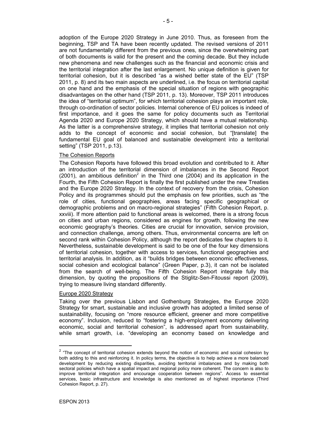adoption of the Europe 2020 Strategy in June 2010. Thus, as foreseen from the beginning, TSP and TA have been recently updated. The revised versions of 2011 are not fundamentally different from the previous ones, since the overwhelming part of both documents is valid for the present and the coming decade. But they include new phenomena and new challenges such as the financial and economic crisis and the territorial integration after the last enlargement. No unique definition is given for territorial cohesion, but it is described "as a wished better state of the EU" (TSP 2011, p. 8) and its two main aspects are underlined, i.e. the focus on territorial capital on one hand and the emphasis of the special situation of regions with geographic disadvantages on the other hand (TSP 2011, p. 13). Moreover, TSP 2011 introduces the idea of "territorial optimum", for which territorial cohesion plays an important role, through co-ordination of sector policies. Internal coherence of EU polices is indeed of first importance, and it goes the same for policy documents such as Territorial Agenda 2020 and Europe 2020 Strategy, which should have a mutual relationship. As the latter is a comprehensive strategy, it implies that territorial cohesion not only adds to the concept of economic and social cohesion, but "[translate] the fundamental EU goal of balanced and sustainable development into a territorial setting" (TSP 2011, p.13).

#### The Cohesion Reports

The Cohesion Reports have followed this broad evolution and contributed to it. After an introduction of the territorial dimension of imbalances in the Second Report  $(2001)$ , an ambitious definition<sup>2</sup> in the Third one  $(2004)$  and its application in the Fourth, the Fifth Cohesion Report is finally the first published under the new Treaties and the Europe 2020 Strategy. In the context of recovery from the crisis, Cohesion Policy and its programmes should put the emphasis on few priorities, such as "the role of cities, functional geographies, areas facing specific geographical or demographic problems and on macro-regional strategies" (Fifth Cohesion Report, p. xxviii). If more attention paid to functional areas is welcomed, there is a strong focus on cities and urban regions, considered as engines for growth, following the new economic geography's theories. Cities are crucial for innovation, service provision, and connection challenge, among others. Thus, environmental concerns are left on second rank within Cohesion Policy, although the report dedicates few chapters to it. Nevertheless, sustainable development is said to be one of the four key dimensions of territorial cohesion, together with access to services, functional geographies and territorial analysis. In addition, as it "builds bridges between economic effectiveness, social cohesion and ecological balance" (Green Paper, p.3), it can not be isolated from the search of well-being. The Fifth Cohesion Report integrate fully this dimension, by quoting the propositions of the Stiglitz-Sen-Fitoussi report (2009), trying to measure living standard differently.

#### Europe 2020 Strategy

Taking over the previous Lisbon and Gothenburg Strategies, the Europe 2020 Strategy for smart, sustainable and inclusive growth has adopted a limited sense of sustainability, focusing on "more resource efficient, greener and more competitive economy". Inclusion, reduced to "fostering a high-employment economy delivering economic, social and territorial cohesion", is addressed apart from sustainability, while smart growth, i.e. "developing an economy based on knowledge and

l

 $2$  "The concept of territorial cohesion extends beyond the notion of economic and social cohesion by both adding to this and reinforcing it. In policy terms, the objective is to help achieve a more balanced development by reducing existing disparities, avoiding territorial imbalances and by making both sectoral policies which have a spatial impact and regional policy more coherent. The concern is also to improve territorial integration and encourage cooperation between regions". Access to essential services, basic infrastructure and knowledge is also mentioned as of highest importance (Third Cohesion Report, p. 27).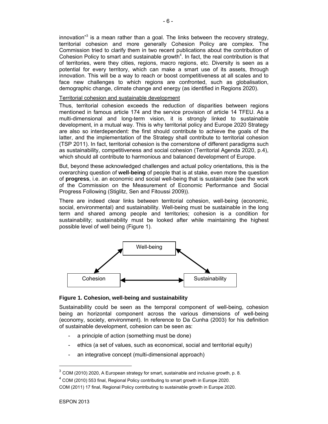innovation<sup>3</sup> is a mean rather than a goal. The links between the recovery strategy, territorial cohesion and more generally Cohesion Policy are complex. The Commission tried to clarify them in two recent publications about the contribution of Cohesion Policy to smart and sustainable growth $4$ . In fact, the real contribution is that of territories, were they cities, regions, macro regions, etc. Diversity is seen as a potential for every territory, which can make a smart use of its assets, through innovation. This will be a way to reach or boost competitiveness at all scales and to face new challenges to which regions are confronted, such as globalisation, demographic change, climate change and energy (as identified in Regions 2020).

#### Territorial cohesion and sustainable development

Thus, territorial cohesion exceeds the reduction of disparities between regions mentioned in famous article 174 and the service provision of article 14 TFEU. As a multi-dimensional and long-term vision, it is strongly linked to sustainable development, in a mutual way. This is why territorial policy and Europe 2020 Strategy are also so interdependent: the first should contribute to achieve the goals of the latter, and the implementation of the Strategy shall contribute to territorial cohesion (TSP 2011). In fact, territorial cohesion is the cornerstone of different paradigms such as sustainability, competitiveness and social cohesion (Territorial Agenda 2020, p.4), which should all contribute to harmonious and balanced development of Europe.

But, beyond these acknowledged challenges and actual policy orientations, this is the overarching question of **well-being** of people that is at stake, even more the question of **progress**, i.e. an economic and social well-being that is sustainable (see the work of the Commission on the Measurement of Economic Performance and Social Progress Following (Stiglitz, Sen and Fitoussi 2009)).

There are indeed clear links between territorial cohesion, well-being (economic, social, environmental) and sustainability. Well-being must be sustainable in the long term and shared among people and territories; cohesion is a condition for sustainability; sustainability must be looked after while maintaining the highest possible level of well being (Figure 1).



#### **Figure 1. Cohesion, well-being and sustainability**

Sustainability could be seen as the temporal component of well-being, cohesion being an horizontal component across the various dimensions of well-being (economy, society, environment). In reference to Da Cunha (2003) for his definition of sustainable development, cohesion can be seen as:

- a principle of action (something must be done)
- ethics (a set of values, such as economical, social and territorial equity)
- an integrative concept (multi-dimensional approach)

l

 $3$  COM (2010) 2020, A European strategy for smart, sustainable and inclusive growth, p. 8.

 $4$  COM (2010) 553 final, Regional Policy contributing to smart growth in Europe 2020.

COM (2011) 17 final, Regional Policy contributing to sustainable growth in Europe 2020.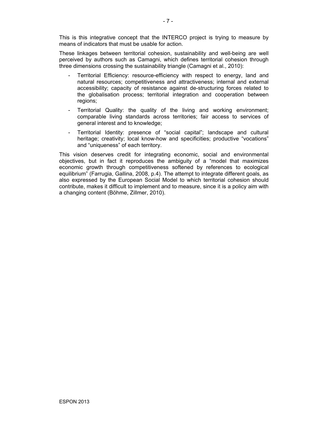This is this integrative concept that the INTERCO project is trying to measure by means of indicators that must be usable for action.

These linkages between territorial cohesion, sustainability and well-being are well perceived by authors such as Camagni, which defines territorial cohesion through three dimensions crossing the sustainability triangle (Camagni et al., 2010):

- Territorial Efficiency: resource-efficiency with respect to energy, land and natural resources; competitiveness and attractiveness; internal and external accessibility; capacity of resistance against de-structuring forces related to the globalisation process; territorial integration and cooperation between regions;
- Territorial Quality: the quality of the living and working environment; comparable living standards across territories; fair access to services of general interest and to knowledge;
- Territorial Identity: presence of "social capital"; landscape and cultural heritage; creativity; local know-how and specificities; productive "vocations" and "uniqueness" of each territory.

This vision deserves credit for integrating economic, social and environmental objectives, but in fact it reproduces the ambiguity of a "model that maximizes economic growth through competitiveness softened by references to ecological equilibrium" (Farrugia, Gallina, 2008, p.4). The attempt to integrate different goals, as also expressed by the European Social Model to which territorial cohesion should contribute, makes it difficult to implement and to measure, since it is a policy aim with a changing content (Böhme, Zillmer, 2010).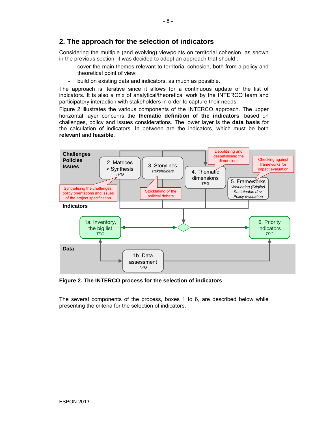# **2. The approach for the selection of indicators**

Considering the multiple (and evolving) viewpoints on territorial cohesion, as shown in the previous section, it was decided to adopt an approach that should :

- cover the main themes relevant to territorial cohesion, both from a policy and theoretical point of view;
- build on existing data and indicators, as much as possible.

The approach is iterative since it allows for a continuous update of the list of indicators. It is also a mix of analytical/theoretical work by the INTERCO team and participatory interaction with stakeholders in order to capture their needs.

Figure 2 illustrates the various components of the INTERCO approach. The upper horizontal layer concerns the **thematic definition of the indicators**, based on challenges, policy and issues considerations. The lower layer is the **data basis** for the calculation of indicators. In between are the indicators, which must be both **relevant** and **feasible**.



**Figure 2. The INTERCO process for the selection of indicators** 

The several components of the process, boxes 1 to 6, are described below while presenting the criteria for the selection of indicators.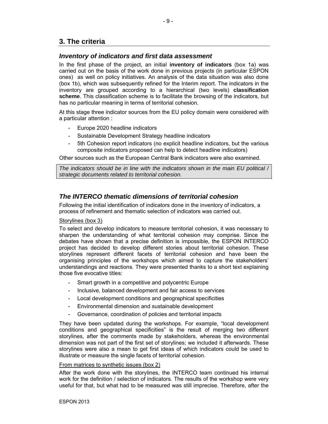# **3. The criteria**

## *Inventory of indicators and first data assessment*

In the first phase of the project, an initial **inventory of indicators** (box 1a) was carried out on the basis of the work done in previous projects (in particular ESPON ones) as well on policy initiatives. An analysis of the data situation was also done (box 1b), which was subsequently refined for the Interim report. The indicators in the inventory are grouped according to a hierarchical (two levels) **classification scheme**. This classification scheme is to facilitate the browsing of the indicators, but has no particular meaning in terms of territorial cohesion.

At this stage three indicator sources from the EU policy domain were considered with a particular attention :

- Europe 2020 headline indicators
- Sustainable Development Strategy headline indicators
- 5th Cohesion report indicators (no explicit headline indicators, but the various composite indicators proposed can help to detect headline indicators)

Other sources such as the European Central Bank indicators were also examined.

*The indicators should be in line with the indicators shown in the main EU political / strategic documents related to territorial cohesion.* 

## *The INTERCO thematic dimensions of territorial cohesion*

Following the initial identification of indicators done in the inventory of indicators, a process of refinement and thematic selection of indicators was carried out.

#### Storylines (box 3)

To select and develop indicators to measure territorial cohesion, it was necessary to sharpen the understanding of what territorial cohesion may comprise. Since the debates have shown that a precise definition is impossible, the ESPON INTERCO project has decided to develop different stories about territorial cohesion. These storylines represent different facets of territorial cohesion and have been the organising principles of the workshops which aimed to capture the stakeholders' understandings and reactions. They were presented thanks to a short text explaining those five evocative titles:

- Smart growth in a competitive and polycentric Europe
- Inclusive, balanced development and fair access to services
- Local development conditions and geographical specificities
- Environmental dimension and sustainable development
- Governance, coordination of policies and territorial impacts

They have been updated during the workshops. For example, "local development conditions and geographical specificities" is the result of merging two different storylines, after the comments made by stakeholders, whereas the environmental dimension was not part of the first set of storylines; we included it afterwards. These storylines were also a mean to get first ideas of which indicators could be used to illustrate or measure the single facets of territorial cohesion.

#### From matrices to synthetic issues (box 2)

After the work done with the storylines, the INTERCO team continued his internal work for the definition / selection of indicators. The results of the workshop were very useful for that, but what had to be measured was still imprecise. Therefore, after the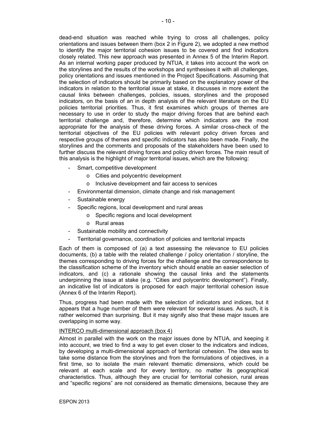dead-end situation was reached while trying to cross all challenges, policy orientations and issues between them (box 2 in Figure 2), we adopted a new method to identify the major territorial cohesion issues to be covered and find indicators closely related. This new approach was presented in Annex 5 of the Interim Report. As an internal working paper produced by NTUA, it takes into account the work on the storylines and the results of the workshops and synthesises it with all challenges, policy orientations and issues mentioned in the Project Specifications. Assuming that the selection of indicators should be primarily based on the explanatory power of the indicators in relation to the territorial issue at stake, it discusses in more extent the causal links between challenges, policies, issues, storylines and the proposed indicators, on the basis of an in depth analysis of the relevant literature on the EU policies territorial priorities. Thus, it first examines which groups of themes are necessary to use in order to study the major driving forces that are behind each territorial challenge and, therefore, determine which indicators are the most appropriate for the analysis of these driving forces. A similar cross-check of the territorial objectives of the EU policies with relevant policy driven forces and respective groups of themes and specific indicators has also been made. Finally, the storylines and the comments and proposals of the stakeholders have been used to further discuss the relevant driving forces and policy driven forces. The main result of this analysis is the highlight of major territorial issues, which are the following:

- Smart, competitive development
	- o Cities and polycentric development
	- o Inclusive development and fair access to services
- Environmental dimension, climate change and risk management
- Sustainable energy
- Specific regions, local development and rural areas
	- o Specific regions and local development
	- o Rural areas
- Sustainable mobility and connectivity
- Territorial governance, coordination of policies and territorial impacts

Each of them is composed of (a) a text assessing the relevance to EU policies documents, (b) a table with the related challenge / policy orientation / storyline, the themes corresponding to driving forces for the challenge and the correspondence to the classification scheme of the inventory which should enable an easier selection of indicators, and (c) a rationale showing the causal links and the statements underpinning the issue at stake (e.g. "Cities and polycentric development"). Finally, an indicative list of indicators is proposed for each major territorial cohesion issue (Annex 6 of the Interim Report).

Thus, progress had been made with the selection of indicators and indices, but it appears that a huge number of them were relevant for several issues. As such, it is rather welcomed than surprising. But it may signify also that these major issues are overlapping in some way.

#### INTERCO multi-dimensional approach (box 4)

Almost in parallel with the work on the major issues done by NTUA, and keeping it into account, we tried to find a way to get even closer to the indicators and indices, by developing a multi-dimensional approach of territorial cohesion. The idea was to take some distance from the storylines and from the formulations of objectives, in a first time, so to isolate the main relevant thematic dimensions, which could be relevant at each scale and for every territory, no matter its geographical characteristics. Thus, although they are crucial for territorial cohesion, rural areas and "specific regions" are not considered as thematic dimensions, because they are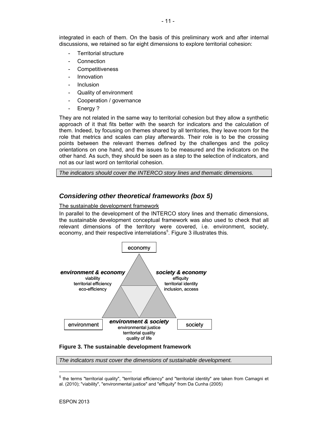integrated in each of them. On the basis of this preliminary work and after internal discussions, we retained so far eight dimensions to explore territorial cohesion:

- Territorial structure
- **Connection**
- **Competitiveness**
- **Innovation**
- **Inclusion**
- Quality of environment
- Cooperation / governance
- Energy ?

They are not related in the same way to territorial cohesion but they allow a synthetic approach of it that fits better with the search for indicators and the calculation of them. Indeed, by focusing on themes shared by all territories, they leave room for the role that metrics and scales can play afterwards. Their role is to be the crossing points between the relevant themes defined by the challenges and the policy orientations on one hand, and the issues to be measured and the indicators on the other hand. As such, they should be seen as a step to the selection of indicators, and not as our last word on territorial cohesion.

*The indicators should cover the INTERCO story lines and thematic dimensions.* 

## *Considering other theoretical frameworks (box 5)*

#### The sustainable development framework

In parallel to the development of the INTERCO story lines and thematic dimensions, the sustainable development conceptual framework was also used to check that all relevant dimensions of the territory were covered, i.e. environment, society, economy, and their respective interrelations<sup>5</sup>. Figure 3 illustrates this.



#### **Figure 3. The sustainable development framework**

*The indicators must cover the dimensions of sustainable development.* 

 $\overline{a}$ 

<sup>5</sup> the terms "territorial quality", "territorial efficiency" and "territorial identity" are taken from Camagni et al. (2010); "viability", "environmental justice" and "effiquity" from Da Cunha (2005)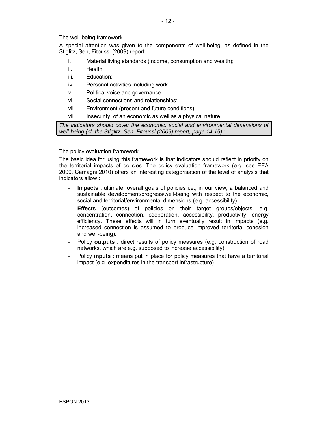#### The well-being framework

A special attention was given to the components of well-being, as defined in the Stiglitz, Sen, Fitoussi (2009) report:

- i. Material living standards (income, consumption and wealth);
- ii. Health;
- iii. Education;
- iv. Personal activities including work
- v. Political voice and governance;
- vi. Social connections and relationships;
- vii. Environment (present and future conditions);
- viii. Insecurity, of an economic as well as a physical nature.

*The indicators should cover the economic, social and environmental dimensions of well-being (cf. the Stiglitz, Sen, Fitoussi (2009) report, page 14-15) :* 

#### The policy evaluation framework

The basic idea for using this framework is that indicators should reflect in priority on the territorial impacts of policies. The policy evaluation framework (e.g. see EEA 2009, Camagni 2010) offers an interesting categorisation of the level of analysis that indicators allow :

- **Impacts** : ultimate, overall goals of policies i.e., in our view, a balanced and sustainable development/progress/well-being with respect to the economic, social and territorial/environmental dimensions (e.g. accessibility).
- **Effects** (outcomes) of policies on their target groups/objects, e.g. concentration, connection, cooperation, accessibility, productivity, energy efficiency. These effects will in turn eventually result in impacts (e.g. increased connection is assumed to produce improved territorial cohesion and well-being).
- Policy **outputs** : direct results of policy measures (e.g. construction of road networks, which are e.g. supposed to increase accessibility).
- Policy **inputs** : means put in place for policy measures that have a territorial impact (e.g. expenditures in the transport infrastructure).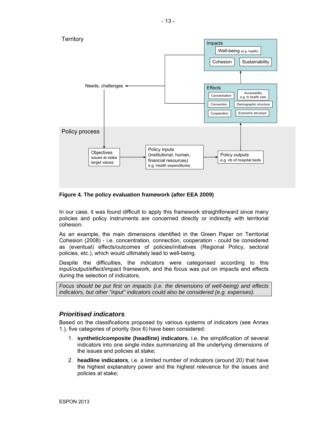

**Figure 4. The policy evaluation framework (after EEA 2009)** 

In our case, it was found difficult to apply this framework straightforward since many policies and policy instruments are concerned directly or indirectly with territorial cohesion.

As an example, the main dimensions identified in the Green Paper on Territorial Cohesion (2008) - i.e. concentration, connection, cooperation - could be considered as (eventual) effects/outcomes of policies/initiatives (Regional Policy, sectoral policies, etc.), which would ultimately lead to well-being.

Despite the difficulties, the indicators were categorised according to this input/output/effect/impact framework, and the focus was put on impacts and effects during the selection of indicators.

*Focus should be put first on impacts (i.e. the dimensions of well-being) and effects indicators, but other "input" indicators could also be considered (e.g. expenses).* 

# *Prioritised indicators*

Based on the classifications proposed by various systems of indicators (see Annex 1.), five categories of priority (box 6) have been considered:

- 1. **synthetic/composite (headline) indicators**, i.e. the simplification of several indicators into one single index summarizing all the underlying dimensions of the issues and policies at stake;
- 2. **headline indicators**, i.e. a limited number of indicators (around 20) that have the highest explanatory power and the highest relevance for the issues and policies at stake;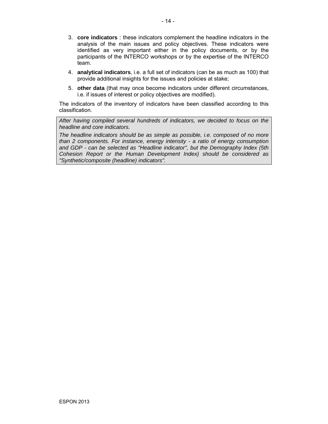- 3. **core indicators** : these indicators complement the headline indicators in the analysis of the main issues and policy objectives. These indicators were identified as very important either in the policy documents, or by the participants of the INTERCO workshops or by the expertise of the INTERCO team.
- 4. **analytical indicators**, i.e. a full set of indicators (can be as much as 100) that provide additional insights for the issues and policies at stake;
- 5. **other data** (that may once become indicators under different circumstances, i.e. if issues of interest or policy objectives are modified).

The indicators of the inventory of indicators have been classified according to this classification.

*After having compiled several hundreds of indicators, we decided to focus on the headline and core indicators.* 

*The headline indicators should be as simple as possible, i.e. composed of no more than 2 components. For instance, energy intensity - a ratio of energy consumption and GDP - can be selected as "Headline indicator", but the Demography Index (5th Cohesion Report or the Human Development Index) should be considered as "Synthetic/composite (headline) indicators".*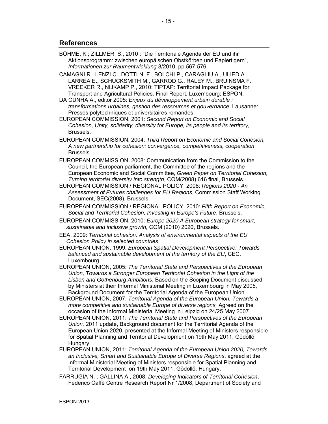## **References**

- BÖHME, K.; ZILLMER, S., 2010 : "Die Territoriale Agenda der EU und ihr Aktionsprogramm: zwischen europäischen Obstkörben und Papiertigern", *Informationen zur Raumentwicklung* 8/2010, pp.567-576.
- CAMAGNI R., LENZI C., DOTTI N. F., BOLCHI P., CARAGLIU A., ULIED A., LARREA E., SCHUCKSMITH M., GARROD G., RALEY M., BRUINSMA F., VREEKER R., NIJKAMP P., 2010: TIPTAP: Territorial Impact Package for Transport and Agricultural Policies. Final Report. Luxembourg: ESPON.
- DA CUNHA A., editor 2005: *Enjeux du développement urbain durable : transformations urbaines, gestion des ressources et gouvernance*. Lausanne: Presses polytechniques et universitaires romandes.
- EUROPEAN COMMISSION, 2001: *Second Report on Economic and Social Cohesion, Unity, solidarity, diversity for Europe, its people and its territory,* Brussels.
- EUROPEAN COMMISSION, 2004: *Third Report on Economic and Social Cohesion, A new partnership for cohesion: convergence, competitiveness, cooperation*, Brussels.
- EUROPEAN COMMISSION, 2008: Communication from the Commission to the Council, the European parliament, the Committee of the regions and the European Economic and Social Committee, *Green Paper on Territorial Cohesion, Turning territorial diversity into strength*, COM(2008) 616 final, Brussels.
- EUROPEAN COMMISSION / REGIONAL POLICY, 2008: *Regions 2020 An Assessment of Futures challenges for EU Regions*, Commission Staff Working Document, SEC(2008), Brussels.
- EUROPEAN COMMISSION / REGIONAL POLICY, 2010: *Fifth Report on Economic, Social and Territorial Cohesion, Investing in Europe's Future*, Brussels.
- EUROPEAN COMMISSION, 2010: *Europe 2020 A European strategy for smart, sustainable and inclusive growth,* COM (2010) 2020, Brussels.
- EEA, 2009: *Territorial cohesion. Analysis of environmental aspects of the EU Cohesion Policy in selected countries*.
- EUROPEAN UNION, 1999: *European Spatial Development Perspective: Towards balanced and sustainable development of the territory of the EU*, CEC, Luxembourg.
- EUROPEAN UNION, 2005: *The Territorial State and Perspectives of the European Union, Towards a Stronger European Territorial Cohesion in the Light of the Lisbon and Gothenburg Ambitions*, Based on the Scoping Document discussed by Ministers at their Informal Ministerial Meeting in Luxembourg in May 2005, Background Document for the Territorial Agenda of the European Union.
- EUROPEAN UNION, 2007: *Territorial Agenda of the European Union, Towards a more competitive and sustainable Europe of diverse regions,* Agreed on the occasion of the Informal Ministerial Meeting in Leipzig on 24/25 May 2007.
- EUROPEAN UNION, 2011: *The Territorial State and Perspectives of the European Union,* 2011 update, Background document for the Territorial Agenda of the European Union 2020, presented at the Informal Meeting of Ministers responsible for Spatial Planning and Territorial Development on 19th May 2011, Gödöllő, Hungary.
- EUROPEAN UNION, 2011: *Territorial Agenda of the European Union 2020, Towards an Inclusive, Smart and Sustainable Europe of Diverse Regions*, agreed at the Informal Ministerial Meeting of Ministers responsible for Spatial Planning and Territorial Development on 19th May 2011, Gödöllő, Hungary.
- FARRUGIA N. ; GALLINA A., 2008: *Developing Indicators of Territorial Cohesion*, Federico Caffè Centre Research Report Nr 1/2008, Department of Society and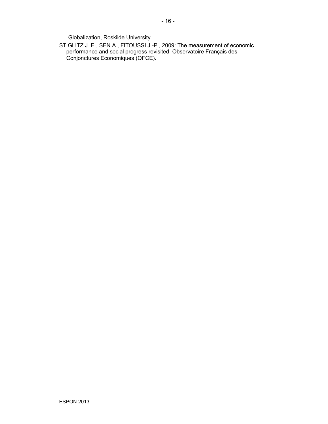Globalization, Roskilde University.

STIGLITZ J. E., SEN A., FITOUSSI J.-P., 2009: The measurement of economic performance and social progress revisited. Observatoire Français des Conjonctures Economiques (OFCE).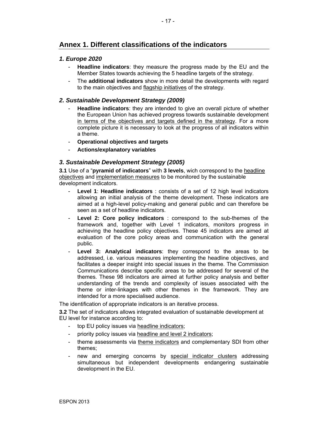# **Annex 1. Different classifications of the indicators**

### *1. Europe 2020*

- **Headline indicators**: they measure the progress made by the EU and the Member States towards achieving the 5 headline targets of the strategy.
- The **additional indicators** show in more detail the developments with regard to the main objectives and flagship initiatives of the strategy.

## *2. Sustainable Development Strategy (2009)*

- **Headline indicators:** they are intended to give an overall picture of whether the European Union has achieved progress towards sustainable development in terms of the objectives and targets defined in the strategy. For a more complete picture it is necessary to look at the progress of all indicators within a theme.
- **Operational objectives and targets**
- **Actions/explanatory variables**

## *3. Sustainable Development Strategy (2005)*

**3.1** Use of a "**pyramid of indicators**" with **3 levels**, wich correspond to the headline objectives and implementation measures to be monitored by the sustainable development indicators.

- Level 1: Headline indicators : consists of a set of 12 high level indicators allowing an initial analysis of the theme development. These indicators are aimed at a high-level policy-making and general public and can therefore be seen as a set of headline indicators.
- Level 2: Core policy indicators : correspond to the sub-themes of the framework and, together with Level 1 indicators, monitors progress in achieving the headline policy objectives. These 45 indicators are aimed at evaluation of the core policy areas and communication with the general public.
- Level 3: Analytical indicators: they correspond to the areas to be addressed, i.e. various measures implementing the headline objectives, and facilitates a deeper insight into special issues in the theme. The Commission Communications describe specific areas to be addressed for several of the themes. These 98 indicators are aimed at further policy analysis and better understanding of the trends and complexity of issues associated with the theme or inter-linkages with other themes in the framework. They are intended for a more specialised audience.

The identification of appropriate indicators is an iterative process.

**3.2** The set of indicators allows integrated evaluation of sustainable development at EU level for instance according to:

- top EU policy issues via headline indicators;
- priority policy issues via headline and level 2 indicators;
- theme assessments via theme indicators and complementary SDI from other themes;
- new and emerging concerns by special indicator clusters addressing simultaneous but independent developments endangering sustainable development in the EU.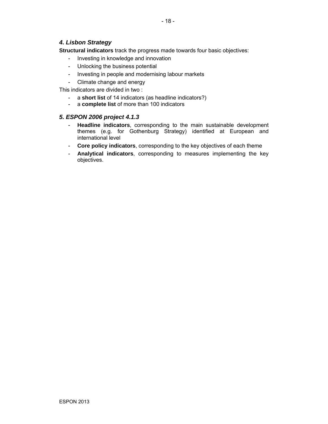# *4. Lisbon Strategy*

**Structural indicators** track the progress made towards four basic objectives:

- Investing in knowledge and innovation
- Unlocking the business potential
- Investing in people and modernising labour markets
- Climate change and energy

This indicators are divided in two :

- a **short list** of 14 indicators (as headline indicators?)
- a **complete list** of more than 100 indicators

## *5. ESPON 2006 project 4.1.3*

- **Headline indicators**, corresponding to the main sustainable development themes (e.g. for Gothenburg Strategy) identified at European and international level
- **Core policy indicators**, corresponding to the key objectives of each theme
- **Analytical indicators**, corresponding to measures implementing the key objectives.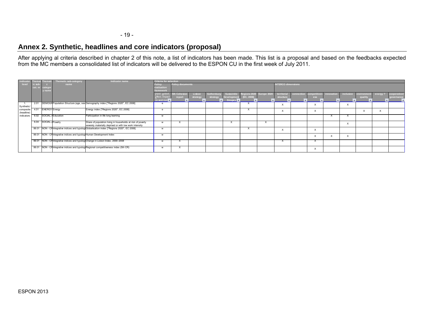# **Annex 2. Synthetic, headlines and core indicators (proposal)**

After applying al criteria described in chapter 2 of this note, a list of indicators has been made. This list is a proposal and based on the feedbacks expected from the MC members a consolidated list of indicators will be delivered to the ESPON CU in the first week of July 2011.

| Indicator  |                      |                      | Thematic sub-category                                                  | Indicator name                                                                                | <b>Criteria for selection</b> |                         |          |            |                        |                          |        |                           |  |                           |            |           |            |        |              |  |  |
|------------|----------------------|----------------------|------------------------------------------------------------------------|-----------------------------------------------------------------------------------------------|-------------------------------|-------------------------|----------|------------|------------------------|--------------------------|--------|---------------------------|--|---------------------------|------------|-----------|------------|--------|--------------|--|--|
|            |                      |                      |                                                                        |                                                                                               |                               |                         |          |            |                        |                          |        |                           |  |                           |            |           |            |        |              |  |  |
| $ $ level  | ic sul               |                      | name                                                                   |                                                                                               |                               | <b>Policy documents</b> |          |            |                        |                          |        | <b>INTERCO dimensions</b> |  |                           |            |           |            |        |              |  |  |
|            | $-$ cat. $nr \times$ |                      |                                                                        |                                                                                               | evaluation                    |                         |          |            |                        |                          |        |                           |  |                           |            |           |            |        |              |  |  |
|            |                      |                      |                                                                        |                                                                                               | ramework                      |                         |          |            |                        |                          |        |                           |  |                           |            |           |            |        |              |  |  |
|            |                      |                      |                                                                        |                                                                                               | nput, outpu                   | <b>5th Cohesion</b>     | Lisbon   | Gothenburg | Sustainble             | Regions 2020 Europe 2020 |        | territorial               |  | connection competitiven   | innovation | inclusion | environmer | enerav | cooperation/ |  |  |
|            |                      |                      |                                                                        |                                                                                               | ffect, impact                 | report                  | strategy | strategy   | Development (EC, 2008) |                          |        | tructure                  |  | ess                       |            |           | quality    |        | governance   |  |  |
|            |                      |                      |                                                                        |                                                                                               | on well-beir                  |                         |          | . .        | Stragey $\Box$         |                          |        |                           |  |                           |            |           |            |        |              |  |  |
|            | 2.01                 |                      |                                                                        | DEMOGR Population Structure (age, sex Demography index ["Regions 2020", EC 2008]              |                               |                         |          |            |                        |                          |        |                           |  |                           |            |           |            |        |              |  |  |
| Synthetic/ |                      |                      |                                                                        |                                                                                               |                               |                         |          |            |                        |                          |        | $\lambda$                 |  |                           |            |           |            |        |              |  |  |
| composite  | 4.01                 | <b>ENERGY Energy</b> |                                                                        | Energy index ["Regions 2020", EC 2008]                                                        |                               |                         |          |            |                        | $\lambda$<br>v           |        |                           |  |                           |            |           |            |        |              |  |  |
| (headline) |                      |                      |                                                                        |                                                                                               |                               |                         |          |            |                        |                          |        | $\lambda$                 |  |                           |            |           |            | v      |              |  |  |
| indicators |                      |                      | 6.02 SOCIAL AEducation                                                 | Participation in life long learning                                                           |                               |                         |          |            |                        |                          |        |                           |  |                           |            |           |            |        |              |  |  |
|            |                      |                      |                                                                        |                                                                                               |                               |                         |          |            |                        |                          |        |                           |  |                           |            |           |            |        |              |  |  |
|            |                      | 6.04 SOCIAL APoverty |                                                                        | Share of population living in households at risk of poverty                                   |                               |                         |          |            |                        |                          | $\sim$ |                           |  |                           |            |           |            |        |              |  |  |
|            |                      |                      |                                                                        | severely materially deprived or with low work intensity                                       |                               |                         |          |            |                        |                          |        |                           |  |                           |            |           |            |        |              |  |  |
|            |                      |                      |                                                                        | 99.01 NON - CF Integrative indices and typologi Globalisation index ["Regions 2020", EC 2008] |                               |                         |          |            |                        | v                        |        | $\ddot{\phantom{0}}$      |  |                           |            |           |            |        |              |  |  |
|            |                      |                      |                                                                        |                                                                                               |                               |                         |          |            |                        |                          |        | Ā                         |  | $\ddot{\phantom{0}}$<br>⋏ |            |           |            |        |              |  |  |
|            |                      |                      | 99.01 NON - CF Integrative indices and typolog Human Development Index |                                                                                               |                               |                         |          |            |                        |                          |        |                           |  | $\ddot{\phantom{0}}$      |            |           |            |        |              |  |  |
|            |                      |                      |                                                                        |                                                                                               |                               |                         |          |            |                        |                          |        |                           |  |                           |            |           |            |        |              |  |  |
|            |                      |                      |                                                                        | 99.01 NON - CF Integrative indices and typolog Change in Lisbon Index, 2000-2008              |                               | $\ddot{\phantom{1}}$    |          |            |                        |                          |        | $\lambda$                 |  |                           |            |           |            |        |              |  |  |
|            |                      |                      |                                                                        |                                                                                               |                               |                         |          |            |                        |                          |        |                           |  |                           |            |           |            |        |              |  |  |
|            |                      |                      |                                                                        | 99.01 NON - CF Integrative indices and typolog Regional competitiveness index (5th CR)        |                               | v                       |          |            |                        |                          |        |                           |  | $\ddot{\phantom{0}}$      |            |           |            |        |              |  |  |
|            |                      |                      |                                                                        |                                                                                               |                               |                         |          |            |                        |                          |        |                           |  | ⋏                         |            |           |            |        |              |  |  |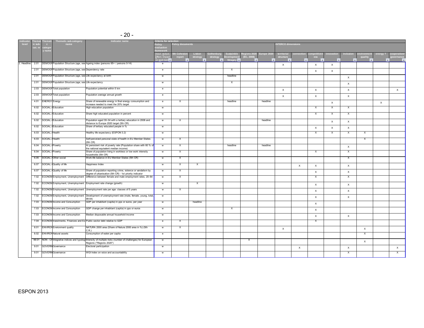| $-20-$<br>$\sim$ |
|------------------|
|                  |

|             |         |                        | Thematic sub-category                                          | <b>Indicator name</b>                                                                                                                 | Criteria for selection                                |                           |          |          |                      |                          |           |                         |                          |              |             |                           |                           |          |                       |
|-------------|---------|------------------------|----------------------------------------------------------------|---------------------------------------------------------------------------------------------------------------------------------------|-------------------------------------------------------|---------------------------|----------|----------|----------------------|--------------------------|-----------|-------------------------|--------------------------|--------------|-------------|---------------------------|---------------------------|----------|-----------------------|
| level       |         |                        | name                                                           |                                                                                                                                       | olicy documents<br><b>NTERCO dimensions</b><br>Policy |                           |          |          |                      |                          |           |                         |                          |              |             |                           |                           |          |                       |
|             | cat. ni | catego                 |                                                                |                                                                                                                                       | :valuatior                                            |                           |          |          |                      |                          |           |                         |                          |              |             |                           |                           |          |                       |
|             |         | y nam                  |                                                                |                                                                                                                                       | rameworl                                              |                           | Lisbo    |          |                      |                          |           |                         |                          |              |             |                           |                           |          |                       |
|             |         |                        |                                                                |                                                                                                                                       | nput, output<br>effect. impact                        | 5th Cohesio<br>report     | strategy | strategy | Developme            | (EC. 2008)               | urope 20: | territoria<br>structure |                          | ess          | าovatio     |                           | nvironme<br>quality       | energy?  | operatio<br>overnance |
|             |         |                        |                                                                |                                                                                                                                       | on well-beir                                          |                           |          |          | Stragey <sup>1</sup> | $\overline{\phantom{a}}$ | I۰        |                         | $\overline{\phantom{0}}$ | ×            | ı.          | ۰                         |                           | l v      |                       |
| 2. Headline | 2.01    |                        |                                                                | DEMOGR Population Structure (age, sex Ageing index (persons 65+ / persons 0-14)                                                       | e                                                     |                           |          |          |                      |                          |           | $\times$                |                          | $\times$     | $\times$    |                           |                           |          |                       |
|             | 2.01    |                        | DEMOGR Population Structure (age, sex Dependency rate          |                                                                                                                                       | e                                                     |                           |          |          | X                    |                          |           |                         |                          | $\times$     | $\times$    |                           |                           |          |                       |
|             | 2.01    |                        | DEMOGR Population Structure (age, sex Life expectancy at birth |                                                                                                                                       | w                                                     |                           |          |          | headline             |                          |           |                         |                          |              |             |                           |                           |          |                       |
|             |         |                        |                                                                |                                                                                                                                       |                                                       |                           |          |          |                      |                          |           |                         |                          |              |             | $\boldsymbol{\mathsf{x}}$ |                           |          |                       |
|             | 2.01    |                        | DEMOGF Population Structure (age, sex Life expectancy          |                                                                                                                                       | w                                                     |                           |          |          | X                    |                          |           |                         |                          |              |             | $\boldsymbol{\mathsf{x}}$ |                           |          |                       |
|             | 2.03    |                        | <b>DEMOGF</b> Total population                                 | Population potential within 5 km                                                                                                      | e                                                     |                           |          |          |                      |                          |           | $\times$                |                          | $\times$     |             | $\boldsymbol{\mathsf{x}}$ |                           |          | $\times$              |
|             | 2.03    |                        | <b>DEMOGR</b> Total population                                 | Population average annual growth                                                                                                      | $\mathbf{e}$                                          |                           |          |          |                      |                          |           | $\mathsf X$             |                          | $\mathsf X$  |             | $\boldsymbol{\mathsf{x}}$ |                           |          |                       |
|             | 4.01    | <b>ENERGY</b> Energy   |                                                                | Share of renewable energy in final energy consumption and<br>increase needed to meet the 20% target                                   | $\mathbf{e}$                                          | $\mathsf{x}$              |          |          | headline             |                          | headline  |                         |                          |              | $\mathsf X$ |                           |                           | $\times$ |                       |
|             | 6.02    |                        | SOCIAL A Education                                             | High education population                                                                                                             | w                                                     |                           |          |          |                      |                          |           |                         |                          | $\times$     | $\times$    | $\boldsymbol{\mathsf{x}}$ |                           |          |                       |
|             | 6.02    |                        | SOCIAL A Education                                             | Share high educated population in percent                                                                                             | W                                                     |                           |          |          |                      |                          |           |                         |                          | X            | X           | X                         |                           |          |                       |
|             | 6.02    |                        | SOCIAL A Education                                             | Population aged 30-34 with a tertiary education in 2008 and                                                                           | w                                                     | X                         |          |          |                      |                          | headline  |                         |                          |              |             |                           |                           |          |                       |
|             |         |                        |                                                                | distance to Europe 2020 target (5th CR)                                                                                               |                                                       |                           |          |          |                      |                          |           |                         |                          |              | $\times$    | $\times$                  |                           |          |                       |
|             | 6.02    |                        | SOCIAL A Education                                             | Share of tertiary educated people in %                                                                                                | w                                                     |                           |          |          |                      |                          |           |                         |                          | $\times$     | $\mathsf X$ | $\boldsymbol{\mathsf{X}}$ |                           |          |                       |
|             | 6.03    | SOCIAL AHealth         |                                                                | Healthy life expectancy (ESPON 3.2)                                                                                                   | w                                                     |                           |          |          |                      |                          |           |                         |                          | $\mathsf{x}$ | X           | X                         | X                         |          |                       |
|             | 6.03    | <b>SOCIAL AHealth</b>  |                                                                | Self-perceived personal state of health in EU Member States<br>(5th CR)                                                               | w                                                     | $\mathsf{X}$              |          |          |                      |                          |           |                         |                          |              |             |                           | X                         |          |                       |
|             | 6.04    | SOCIAL APoverty        |                                                                | At persistent risk of poverty rate (Population share with 60 % of<br>the national equivalent median income)                           | w                                                     | $\mathsf{x}$              |          |          | headline             |                          | headline  |                         |                          |              |             | $\boldsymbol{\mathsf{x}}$ |                           |          |                       |
|             | 6.04    | <b>SOCIAL APoverty</b> |                                                                | Share of population living in workless or low work intensity<br>households (5th CR)                                                   | w                                                     | X                         |          |          |                      |                          |           |                         |                          | $\times$     |             | $\times$                  |                           |          |                       |
|             | 6.05    |                        | SOCIAL AOther social                                           | Work-life balance in EU Member States (5th CR)                                                                                        | w                                                     | X                         |          |          |                      |                          |           |                         |                          |              |             | X                         |                           |          |                       |
|             | 6.07    |                        | SOCIAL AQuality of life                                        | Happiness Index                                                                                                                       | w                                                     | $\boldsymbol{\mathsf{x}}$ | X        |          |                      |                          |           |                         | $\times$                 | $\times$     |             | $\boldsymbol{\mathsf{x}}$ |                           |          |                       |
|             | 6.07    |                        | SOCIAL AQuality of life                                        | Share of population reporting crime, violence or vandalism by<br>degree of urbanisation (5th CR) - 1st priority indicator             | w                                                     | X                         |          |          |                      |                          |           |                         |                          | $\times$     |             | $\boldsymbol{\mathsf{x}}$ |                           |          |                       |
|             | 7.02    |                        |                                                                | ECONOM Employment, Unemployment Difference between female and male employment rates, 20-64                                            | w                                                     | $\times$                  |          |          |                      |                          |           |                         |                          | X            |             | х                         |                           |          |                       |
|             | 7.02    |                        |                                                                | ECONOM Employment, Unemployment Employment rate change (growth)                                                                       | w                                                     |                           | $\times$ |          |                      |                          |           |                         |                          | $\times$     |             | $\boldsymbol{\mathsf{x}}$ |                           |          |                       |
|             | 7.02    |                        |                                                                | ECONOM Employment, Unemployment Unemployment rate per age: classes of 5 years                                                         | ${\bf w}$                                             | $\mathsf{x}$              |          |          |                      |                          |           |                         |                          | $\times$     |             | $\boldsymbol{\mathsf{x}}$ |                           |          |                       |
|             | 7.02    |                        | ECONOM Employment, Unemployment                                | Development of unemployment rate (male, female, young, total,<br>$99-04)$                                                             | w                                                     |                           |          |          |                      |                          |           |                         |                          | $\times$     |             | $\boldsymbol{\mathsf{x}}$ |                           |          |                       |
|             | 7.03    |                        | <b>ECONOM</b> Income and Consumption                           | GDP per inhabitant (capita) in pps or euros, per year                                                                                 | w                                                     |                           | headline |          |                      |                          |           |                         |                          | $\mathsf X$  |             |                           |                           |          |                       |
|             | 7.03    |                        | <b>ECONOM</b> Income and Consumption                           | GDP change per inhabitant (capita) in pps or euros                                                                                    | w                                                     |                           |          |          | X                    |                          |           |                         |                          | $\times$     |             |                           |                           |          |                       |
|             | 7.03    |                        | <b>ECONOM</b> Income and Consumption                           | Median disposable annual household income                                                                                             | w                                                     |                           |          |          |                      |                          |           |                         |                          | $\times$     |             | $\boldsymbol{\mathsf{x}}$ |                           |          |                       |
|             | 7.04    |                        |                                                                | ECONOM Investments, Finances and Ex Public sector debt relative to GDP                                                                | e                                                     | $\boldsymbol{\mathsf{x}}$ |          |          |                      |                          |           |                         |                          | X            |             |                           |                           |          |                       |
|             | 8.01    |                        | <b>ENVIRON</b> Environment quality                             | NATURA 2000 area (Share of Natura 2000 area in %) (5th<br>C.R.                                                                        | w                                                     | X                         |          |          |                      |                          |           | $\mathsf{x}$            |                          |              |             |                           | $\times$                  |          |                       |
|             | 8.02    |                        | <b>ENVIRON Natural assets</b>                                  | Consumption of water per capita                                                                                                       | e                                                     |                           |          |          |                      |                          |           |                         |                          |              |             |                           | $\boldsymbol{\mathsf{X}}$ |          |                       |
|             | 99.01   |                        |                                                                | NON - CF Integrative indices and typologi Intensity of multiple risks (number of challenges) for European<br>Regions ("Regions 2020") | w                                                     |                           |          |          |                      | $\mathsf{x}$             |           |                         |                          |              |             |                           | $\boldsymbol{\mathsf{x}}$ |          |                       |
|             | 9.01    |                        | <b>GOVERN</b> Governance                                       | Electoral participation                                                                                                               | w                                                     |                           |          |          |                      |                          |           |                         | $\times$                 |              |             | $\boldsymbol{\mathsf{x}}$ |                           |          | $\times$              |
|             | 9.01    |                        | <b>GOVERN</b> Governance                                       | WGI Index on voice and accountability                                                                                                 | w                                                     |                           |          |          |                      |                          |           |                         |                          |              |             | X                         |                           |          | $\mathsf{x}$          |
|             |         |                        |                                                                |                                                                                                                                       |                                                       |                           |          |          |                      |                          |           |                         |                          |              |             |                           |                           |          |                       |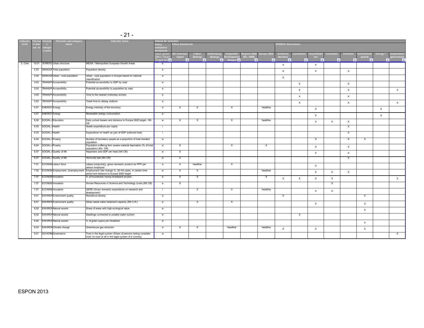| $-21-$ |
|--------|
|        |

|         |                 |                      | Thematic sub-category              | <b>Indicator name</b>                                                                                                   | <b>Criteria for selection</b>                  |                           |                           |          |                           |           |                           |                           |                          |                          |            |                           |             |                           |  |  |  |  |  |
|---------|-----------------|----------------------|------------------------------------|-------------------------------------------------------------------------------------------------------------------------|------------------------------------------------|---------------------------|---------------------------|----------|---------------------------|-----------|---------------------------|---------------------------|--------------------------|--------------------------|------------|---------------------------|-------------|---------------------------|--|--|--|--|--|
| level   | c sul<br>cat. n | ateg                 | name                               |                                                                                                                         | <b>Policy documents</b><br>Policy<br>valuatior |                           |                           |          |                           |           |                           |                           | <b>NTERCO dimensions</b> |                          |            |                           |             |                           |  |  |  |  |  |
|         |                 | y nam                |                                    |                                                                                                                         | ramework<br>input, output                      | 5th Cohesion              | Lisbon                    |          | Sustainble                |           | egions 2020   Europe 2020 | territorial               | connectior               | npetitiver               | innovation | inclusion<br>environme    | energy?     | ooperation                |  |  |  |  |  |
|         |                 |                      |                                    |                                                                                                                         |                                                | report                    | strategy                  | strategy | <b>Developme</b>          | (EC. 2008 |                           | structure                 |                          | ess                      |            | quality                   | l w         | <b>governance</b>         |  |  |  |  |  |
| 3. Core | 10.01           |                      | <b>TERRITO Urban structure</b>     | MEGA / Metropolitan European Growth Areas                                                                               | on well-beir<br>$\mathbf{e}$                   | $\overline{\phantom{a}}$  |                           |          | $\blacksquare$ Stragey    |           |                           | $\times$                  |                          | $\mathbf{v}$<br>$\times$ |            | $\overline{\phantom{0}}$  |             |                           |  |  |  |  |  |
|         | 2.03            |                      | <b>DEMOGF</b> Total population     | Population density                                                                                                      | $\mathbf{e}$                                   |                           |                           |          |                           |           |                           |                           |                          |                          |            |                           |             |                           |  |  |  |  |  |
|         |                 |                      |                                    |                                                                                                                         |                                                |                           |                           |          |                           |           |                           | X                         |                          | $\times$                 |            | $\boldsymbol{\mathsf{x}}$ |             |                           |  |  |  |  |  |
|         | 2.04            |                      | DEMOGR Urban - rural population    | Urban - rural population in Europe based on national<br>classification                                                  | e                                              |                           |                           |          |                           |           |                           | X                         |                          |                          |            |                           |             |                           |  |  |  |  |  |
|         | 3.03            |                      | <b>TRANSP(Accessibility</b>        | Potential accessibility to GDP by road                                                                                  | $\mathbf{e}$                                   |                           |                           |          |                           |           |                           |                           | X                        |                          |            | $\boldsymbol{\mathsf{x}}$ |             |                           |  |  |  |  |  |
|         | 3.03            |                      | TRANSP(Accessibility               | Potential accessibility to population by road                                                                           | $\mathbf{e}$                                   |                           |                           |          |                           |           |                           |                           | $\times$                 |                          |            | $\boldsymbol{\mathsf{x}}$ |             | $\times$                  |  |  |  |  |  |
|         | 3.03            |                      | TRANSP(Accessibility               | Time to the nearest motorway access                                                                                     | e                                              |                           |                           |          |                           |           |                           |                           | $\times$                 |                          |            | $\mathsf{X}$              |             |                           |  |  |  |  |  |
|         | 3.03            |                      | TRANSP(Accessibility               | Fravel time to railway stations                                                                                         | e                                              |                           |                           |          |                           |           |                           |                           | X                        |                          |            | $\boldsymbol{\mathsf{x}}$ |             | $\boldsymbol{\mathsf{X}}$ |  |  |  |  |  |
|         | 4.01            | <b>ENERGY</b> Energy |                                    | Energy intensity of the economy                                                                                         | $\mathbf{e}$                                   | $\boldsymbol{\mathsf{x}}$ | X                         |          | $\mathsf{X}$              |           | headline                  |                           |                          | $\times$                 |            |                           | $\times$    |                           |  |  |  |  |  |
|         | 4.01            | <b>ENERGY</b> Energy |                                    | Renewable energy consumption                                                                                            | $\mathbf{e}$                                   |                           |                           |          |                           |           |                           |                           |                          | $\times$                 |            |                           | $\mathsf X$ |                           |  |  |  |  |  |
|         | 6.02            |                      | SOCIAL / Education                 | Early school leavers and distance to Europe 2020 target - 5th<br><b>CR</b>                                              | w                                              | X                         | X                         |          | $\boldsymbol{\mathsf{X}}$ |           | headline                  |                           |                          | $\times$                 | $\times$   | $\times$                  |             |                           |  |  |  |  |  |
|         | 6.03            | SOCIAL AHealth       |                                    | Health expenditure per capita                                                                                           | j.                                             |                           |                           |          |                           |           |                           |                           |                          |                          |            | $\boldsymbol{\mathsf{x}}$ |             |                           |  |  |  |  |  |
|         |                 | 6.03 SOCIAL AHealth  |                                    | Expenditure on health as part of GDP (national level)                                                                   | - i -                                          |                           |                           |          |                           |           |                           |                           |                          |                          |            | $\boldsymbol{\mathsf{x}}$ |             |                           |  |  |  |  |  |
|         | 6.04            | SOCIAL APoverty      |                                    | Number of homeless people as a proportion of total resident<br>population                                               | w                                              |                           |                           |          |                           |           |                           |                           |                          | $\times$                 |            | $\times$<br>X             |             |                           |  |  |  |  |  |
|         |                 | 6.04 SOCIAL APoverty |                                    | Population suffering from severe material deprivation (% of total<br>population) (5th CR)                               | w                                              | X                         |                           |          | Χ                         |           | X                         |                           |                          | $\times$                 |            | $\boldsymbol{\mathsf{x}}$ |             |                           |  |  |  |  |  |
|         | 6.07            |                      | SOCIAL A Quality of life           | Happiness and GDP per head (5th CR)                                                                                     | w                                              | x                         |                           |          |                           |           |                           |                           |                          | $\times$                 |            | $\times$                  |             |                           |  |  |  |  |  |
|         | 6.07            |                      | SOCIAL A Quality of life           | Homicide rate (5th CR)                                                                                                  | w                                              | $\boldsymbol{\mathsf{x}}$ |                           |          |                           |           |                           |                           |                          |                          |            | $\times$                  |             |                           |  |  |  |  |  |
|         | 7.01            |                      | <b>ECONOM Labour force</b>         | Labour productivity, gross domestic product as PPP per<br>person employed                                               | $\mathbf{e}$                                   | $\boldsymbol{\mathsf{x}}$ | headline                  |          | $\mathsf{X}$              |           |                           |                           |                          | $\times$                 |            |                           |             |                           |  |  |  |  |  |
|         | 7.02            |                      | ECONOM Employment, Unemployment    | Employment rate change %, 20-64 years, in certain time<br>period and distance to Europe 2020 target                     | w                                              | X                         | $\boldsymbol{\mathsf{x}}$ |          |                           |           | headline                  |                           |                          | $\times$                 | $\times$   | $\boldsymbol{\mathsf{x}}$ |             |                           |  |  |  |  |  |
|         | 7.07            |                      | <b>ECONOM</b> Innovation           | % of households having broadband access                                                                                 | $\mathbf{e}$                                   | X                         | X                         |          |                           |           | $\boldsymbol{\mathsf{X}}$ | $\boldsymbol{\mathsf{X}}$ | X                        | $\times$                 | $\times$   |                           |             | $\boldsymbol{\mathsf{X}}$ |  |  |  |  |  |
|         | 7.07            |                      | <b>ECONOM</b> Innovation           | Human Resources in Science and Technology (core) (5th CR)                                                               | $\mathbf{e}$                                   | $\boldsymbol{\mathsf{x}}$ |                           |          |                           |           |                           |                           |                          |                          | $\times$   |                           |             |                           |  |  |  |  |  |
|         | 7.07            |                      | <b>ECONOM</b> Innovation           | GERD (Gross domestic expenditure on research and<br>development)                                                        | ÷.                                             |                           | $\boldsymbol{\mathsf{x}}$ |          | $\boldsymbol{\mathsf{X}}$ |           | headline                  |                           |                          | $\times$                 | $\times$   |                           |             |                           |  |  |  |  |  |
|         | 8.01            |                      | <b>ENVIRON</b> Environment quality | Residence density                                                                                                       | e                                              |                           |                           |          |                           |           |                           | $\times$                  |                          |                          |            | X                         |             |                           |  |  |  |  |  |
|         | 8.01            |                      | <b>ENVIRON</b> Environment quality | Urban waste water treatment capacity (5th C.R.)                                                                         | $\mathbf{e}$                                   |                           | $\times$                  |          | $\boldsymbol{\mathsf{X}}$ |           |                           |                           |                          | $\times$                 |            | $\boldsymbol{\mathsf{x}}$ |             |                           |  |  |  |  |  |
|         | 8.02            |                      | <b>ENVIRON Natural assets</b>      | Share of areas with high ecological value                                                                               | w                                              |                           |                           |          |                           |           |                           |                           |                          |                          |            | $\times$                  |             |                           |  |  |  |  |  |
|         | 8.02            |                      | <b>ENVIRON Natural assets</b>      | Dwellings connected to potable water system                                                                             | W                                              |                           |                           |          |                           |           |                           |                           | X                        |                          |            |                           |             |                           |  |  |  |  |  |
|         | 8.02            |                      | <b>ENVIRON Natural assets</b>      | % of green space per inhabitant                                                                                         | w                                              |                           |                           |          |                           |           |                           |                           |                          |                          |            | $\times$                  |             |                           |  |  |  |  |  |
|         | 8.03            |                      | <b>ENVIRON</b> Climate change      | Greenhouse gas emission                                                                                                 | e                                              | $\mathsf{x}$              | X                         |          | headline                  |           | headline                  | $\times$                  |                          | $\times$                 |            | $\boldsymbol{\mathsf{x}}$ |             |                           |  |  |  |  |  |
|         | 9.01            |                      | <b>GOVERN</b> Governance           | Trust in the legal system (Share of persons having complete<br>trust/ no trust at all in the legal system of a counrty) | w                                              |                           |                           |          |                           |           |                           |                           |                          |                          |            |                           |             | $\times$                  |  |  |  |  |  |